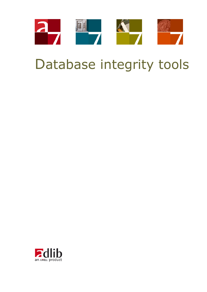

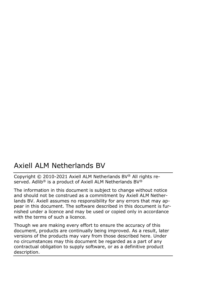### Axiell ALM Netherlands BV

Copyright © 2010-2021 Axiell ALM Netherlands BV® All rights reserved. Adlib<sup>®</sup> is a product of Axiell ALM Netherlands BV<sup>®</sup>

The information in this document is subject to change without notice and should not be construed as a commitment by Axiell ALM Netherlands BV. Axiell assumes no responsibility for any errors that may appear in this document. The software described in this document is furnished under a licence and may be used or copied only in accordance with the terms of such a licence.

Though we are making every effort to ensure the accuracy of this document, products are continually being improved. As a result, later versions of the products may vary from those described here. Under no circumstances may this document be regarded as a part of any contractual obligation to supply software, or as a definitive product description.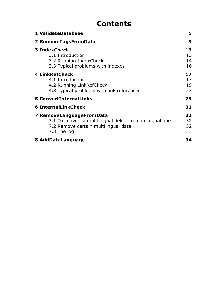## **Contents**

| 1 ValidateDatabase                                                                                                                           | 5                    |
|----------------------------------------------------------------------------------------------------------------------------------------------|----------------------|
| 2 RemoveTagsFromData                                                                                                                         | 9                    |
| 3 IndexCheck<br>3.1 Introduction<br>3.2 Running IndexCheck<br>3.3 Typical problems with indexes                                              | 13<br>13<br>14<br>16 |
| <b>4 LinkRefCheck</b><br>4.1 Introduction<br>4.2 Running LinkRefCheck<br>4.3 Typical problems with link references                           | 17<br>17<br>19<br>23 |
| 5 ConvertInternalLinks                                                                                                                       | 25                   |
| <b>6 InternalLinkCheck</b>                                                                                                                   | 31                   |
| 7 RemoveLanguageFromData<br>7.1 To convert a multilingual field into a unilingual one<br>7.2 Remove certain multilingual data<br>7.3 The log | 32<br>32<br>32<br>33 |
| 8 AddDataLanguage                                                                                                                            | 34                   |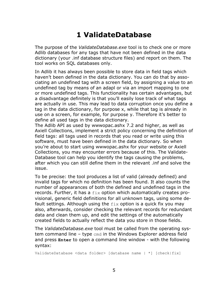# **1 ValidateDatabase**

The purpose of the *ValidateDatabase.exe* tool is to check one or more Adlib databases for any tags that have not been defined in the data dictionary (your .inf database structure files) and report on them. The tool works on SQL databases only.

In Adlib it has always been possible to store data in field tags which haven't been defined in the data dictionary. You can do that by associating an undefined tag with a screen field, by assigning a value to an undefined tag by means of an adapl or via an import mapping to one or more undefined tags. This functionality has certain advantages, but a disadvantage definitely is that you'll easily lose track of what tags are actually in use. This may lead to data corruption once you define a tag in the data dictionary, for purpose x, while that tag is already in use on a screen, for example, for purpose y. Therefore it's better to define all used tags in the data dictionary.

The Adlib API as used by wwwopac.ashx 7.2 and higher, as well as Axiell Collections, implement a strict policy concerning the definition of field tags: all tags used in records that you read or write using this software, must have been defined in the data dictionary. So when you're about to start using wwwopac.ashx for your website or Axiell Collections, you may encounter errors because of this. The Validate-Database tool can help you identify the tags causing the problems, after which you can still define them in the relevant .inf and solve the issue.

To be precise: the tool produces a list of valid (already defined) and invalid tags for which no definition has been found. It also counts the number of appearances of both the defined and undefined tags in the records. Further, it has a fix option which automatically creates provisional, generic field definitions for all unknown tags, using some default settings. Although using the  $fix$  option is a quick fix you may also, afterwards, consider checking the relevant records for redundant data and clean them up, and edit the settings of the automatically created fields to actually reflect the data you store in those fields.

The *ValidateDatabase.exe* tool must be called from the operating system command line - type cmd in the Windows Explorer address field and press **Enter** to open a command line window - with the following syntax:

ValidateDatabase <data folder> [database name | \*] [check|fix]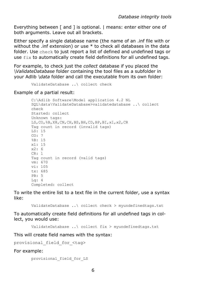Everything between [ and ] is optional. | means: enter either one of both arguments. Leave out all brackets.

Either specify a single database name (the name of an .inf file with or without the .inf extension) or use \* to check all databases in the data folder. Use check to just report a list of defined and undefined tags or use fix to automatically create field definitions for all undefined tags.

For example, to check just the *collect* database if you placed the *\ValidateDatabase* folder containing the tool files as a subfolder in your Adlib *\data* folder and call the executable from its own folder:

```
ValidateDatabase ..\ collect check
```
Example of a partial result:

```
C:\Adlib Software\Model application 4.2 NL 
SQL\data\ValidateDatabase>validatedatabase ..\ collect
check
Started: collect
Unknown tags:
LS,CO,%B,X8,CN,CH,BS,BH,CD,BP,BI,x1,x2,CR
Tag count in record (invalid tags)
LS: 15
CO: 7%B: 15
x1: 15
x2: 6
CR: 1
Tag count in record (valid tags)
vm: 670
vi: 105
tx: 685
PB: 5
Lq: 4
Completed: collect
```
To write the entire list to a text file in the current folder, use a syntax like:

ValidateDatabase ..\ collect check > myundefinedtags.txt

To automatically create field definitions for all undefined tags in collect, you would use:

ValidateDatabase ..\ collect fix > myundefinedtags.txt

This will create field names with the syntax:

provisional\_field\_for\_<tag>

For example:

provisional\_field\_for\_LS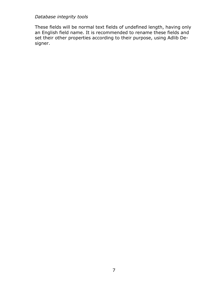These fields will be normal text fields of undefined length, having only an English field name. It is recommended to rename these fields and set their other properties according to their purpose, using Adlib Designer.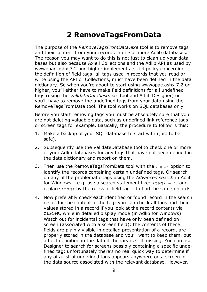# **2 RemoveTagsFromData**

The purpose of the *RemoveTagsFromData.exe* tool is to remove tags and their content from your records in one or more Adlib databases. The reason you may want to do this is not just to clean up your databases but also because Axiell Collections and the Adlib API as used by wwwopac.ashx 7.2 and higher implement a strict policy concerning the definition of field tags: all tags used in records that you read or write using the API or Collections, must have been defined in the data dictionary. So when you're about to start using wwwopac.ashx 7.2 or higher, you'll either have to make field definitions for all undefined tags (using the *ValidateDatabase.exe* tool and Adlib Designer) or you'll have to remove the undefined tags from your data using the RemoveTagsFromData tool. The tool works on SQL databases only.

Before you start removing tags you must be absolutely sure that you are not deleting valuable data, such as undefined link reference tags or screen tags for example. Basically, the procedure to follow is this:

- 1. Make a backup of your SQL database to start with (just to be safe).
- 2. Subsequently use the ValidateDatabase tool to check one or more of your Adlib databases for any tags that have not been defined in the data dictionary and report on them.
- 3. Then use the RemoveTagsFromData tool with the check option to identify the records containing certain undefined tags. Or search on any of the problematic tags using the *Advanced search* in Adlib for Windows – e.g. use a search statement like:  $\langle \text{tag} \rangle = \star$ , and replace  $\langle \text{taq} \rangle$  by the relevant field tag – to find the same records.
- 4. Now preferably check each identified or found record in the search result for the content of the tag: you can check all tags and their values stored in a record if you look at the record contents via **Ctrl+R**, while in detailed display mode (in Adlib for Windows). Watch out for incidental tags that have only been defined on screen (associated with a screen field): the contents of these fields are plainly visible in detailed presentation of a record, are properly stored in the database and you'll want to keep them, but a field definition in the data dictionary is still missing. You can use Designer to search for screens possibly containing a specific undefined tag: unfortunately there's no real quick way to determine if any of a list of undefined tags appears anywhere on a screen in the data source associated with the relevant database. However,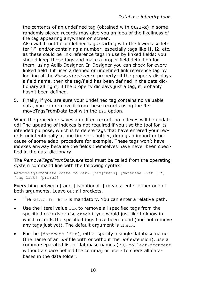the contents of an undefined tag (obtained with **Ctrl+R**) in some randomly picked records may give you an idea of the likeliness of the tag appearing anywhere on screen.

Also watch out for undefined tags starting with the lowercase letter "l" and/or containing a number, especially tags like l1, l2, etc. as these could be link reference tags in use by linked fields: you should keep these tags and make a proper field definition for them, using Adlib Designer. In Designer you can check for every linked field if it uses a defined or undefined link reference tag by looking at the *Forward reference* property: if the property displays a field name, then the tag/field has been defined in the data dictionary all right; if the property displays just a tag, it probably hasn't been defined.

5. Finally, if you are sure your undefined tag contains no valuable data, you can remove it from these records using the RemoveTagsFromData tool with the fix option.

When the procedure saves an edited record, no indexes will be updated! The updating of indexes is not required if you use the tool for its intended purpose, which is to delete tags that have entered your records unintentionally at one time or another, during an import or because of some adapl procedure for example. These tags won't have indexes anyway because the fields themselves have never been specified in the data dictionary.

The *RemoveTagsFromData.exe* tool must be called from the operating system command line with the following syntax:

```
RemoveTagsFromData <data folder> [fix|check] [database list | *]
[tag list] [priref]
```
Everything between [ and ] is optional. | means: enter either one of both arguments. Leave out all brackets.

- The <data folder> is mandatory. You can enter a relative path.
- Use the literal value fix to remove all specified tags from the specified records or use check if you would just like to know in which records the specified tags have been found (and not remove any tags just yet). The default argument is check.
- For the [database list], either specify a single database name (the name of an .*inf* file with or without the .*inf* extension), use a comma-separated list of database names (e.g. collect, document without a space behind the comma) or use  $*$  to check all databases in the data folder.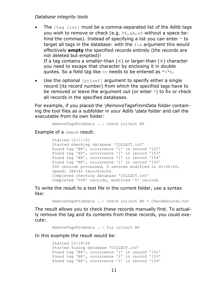- The [tag list] must be a comma-separated list of the Adlib tags you wish to remove or check (e.g. T6,aA,w9 without a space behind the commas). Instead of specifying a list you can enter  $*$  to target all tags in the database: with the fix argument this would effectively **empty** the specified records entirely (the records are not deleted but emptied)! If a tag contains a smaller-than  $($  <  $)$  or larger-than  $($  > $)$  character you need to escape that character by enclosing it in double quotes. So a field tag like  $\leq n$  needs to be entered as " $\leq$ "n.
- Use the optional [priref] argument to specify either a single record (its record number) from which the specified tags have to be removed or leave the argument out (or enter  $*$ ) to fix or check all records in the specified databases.

For example, if you placed the *\RemoveTagsFromData* folder containing the tool files as a subfolder in your Adlib *\data* folder and call the executable from its own folder:

RemoveTagsFromData ..\ check collect BP

Example of a check result:

Started 12:11:01 Started checking database 'COLLECT.inf' Found tag 'BP', occurrence '1' in record '151' Found tag 'BP', occurrence '1' in record '153' Found tag 'BP', occurrence '1' in record '154' Found tag 'BP', occurrence '1' in record '155' 500 records processed, 0 records modified in 00:00:00, speed: 384142 recs/minute Completed checking database 'COLLECT.inf' Completed '569' records, modified '0' records

To write the result to a text file in the current folder, use a syntax like:

RemoveTagsFromData ..\ check collect BP > CheckRecords.txt

The result allows you to check these records manually first. To actually remove the tag and its contents from these records, you could execute:

RemoveTagsFromData ..\ fix collect BP

In this example the result would be:

```
Started 12:19:06
Started fixing database 'COLLECT.inf'
Found tag 'BP', occurrence '1' in record '151'
Found tag 'BP', occurrence '1' in record '153'
Found tag 'BP', occurrence '1' in record '154'
```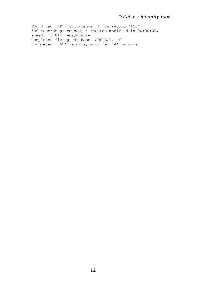Found tag 'BP', occurrence '1' in record '155' 500 records processed, 4 records modified in 00:00:00, speed: 137012 recs/minute Completed fixing database 'COLLECT.inf' Completed '569' records, modified '4' records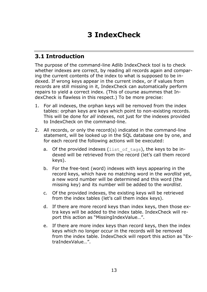# **3 IndexCheck**

### **3.1 Introduction**

The purpose of the command-line Adlib IndexCheck tool is to check whether indexes are correct, by reading all records again and comparing the current contents of the index to what is supposed to be indexed. If wrong keys appear in the current index, or if values from records are still missing in it, IndexCheck can automatically perform repairs to yield a correct index. (This of course asummes that IndexCheck is flawless in this respect.) To be more precise:

- 1. For all indexes, the orphan keys will be removed from the index tables: orphan keys are keys which point to non-existing records. This will be done for *all* indexes, not just for the indexes provided to IndexCheck on the command-line.
- 2. All records, or only the record(s) indicated in the command-line statement, will be looked up in the SQL database one by one, and for each record the following actions will be executed:
	- a. Of the provided indexes (list of tags), the keys to be indexed will be retrieved from the record (let's call them record keys).
	- b. For the free-text (word) indexes with keys appearing in the record keys, which have no matching word in the *wordlist* yet, a new word number will be determined and this word (the missing key) and its number will be added to the *wordlist*.
	- c. Of the provided indexes, the existing keys will be retrieved from the index tables (let's call them index keys).
	- d. If there are more record keys than index keys, then those extra keys will be added to the index table. IndexCheck will report this action as "MissingIndexValue…".
	- e. If there are more index keys than record keys, then the index keys which no longer occur in the records will be removed from the index table. IndexCheck will report this action as "ExtraIndexValue…".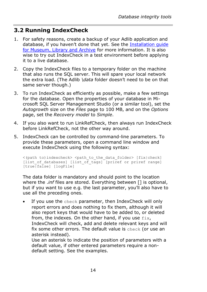### **3.2 Running IndexCheck**

- 1. For safety reasons, create a backup of your Adlib application and database, if you haven't done that yet. See the [Installation guide](http://www.adlibsoft.com/support/manuals/installation-guides/installation-of-adlib-museum-library-and-archive)  [for Museum, Library and Archive](http://www.adlibsoft.com/support/manuals/installation-guides/installation-of-adlib-museum-library-and-archive) for more information. It is also wise to try out IndexCheck in a test environment before applying it to a live database.
- 2. Copy the IndexCheck files to a temporary folder on the machine that also runs the SQL server. This will spare your local network the extra load. (The Adlib *\data* folder doesn't need to be on that same server though.)
- 3. To run IndexCheck as efficiently as possible, make a few settings for the database. Open the properties of your database in Microsoft SQL Server Management Studio (or a similar tool), set the *Autogrowth* size on the *Files* page to 100 MB, and on the *Options* page, set the *Recovery model* to *Simple*.
- 4. If you also want to run LinkRefCheck, then always run IndexCheck before LinkRefCheck, not the other way around.
- 5. IndexCheck can be controlled by command-line parameters. To provide these parameters, open a command line window and execute IndexCheck using the following syntax:

```
\langle(path to)indexcheck> \langlepath to the data folder> [fix|check]
[list of databases] [list of tags] [priref or priref range]
[true|false] [logFile]
```
The data folder is mandatory and should point to the location where the .*inf* files are stored. Everything between [] is optional, but if you want to use e.g. the last parameter, you'll also have to use all the preceding ones.

If you use the check parameter, then IndexCheck will only report errors and does nothing to fix them, although it will also report keys that would have to be added to, or deleted from, the indexes. On the other hand, if you use  $fix$ , IndexCheck will check, add and delete relevant keys and will fix some other errors. The default value is check (or use an asterisk instead).

Use an asterisk to indicate the position of parameters with a default value, if other entered parameters require a nondefault setting. See the examples.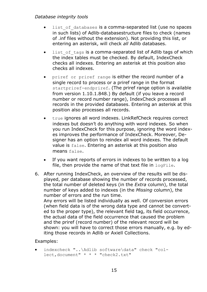- list of databases is a comma-separated list (use no spaces in such lists) of Adlib-databasestructure files to check (names of .inf files without the extension). Not providing this list, or entering an asterisk, will check *all* Adlib databases.
- list of tags is a comma-separated list of Adlib tags of which the index tables must be checked. By default, IndexCheck checks all indexes. Entering an asterisk at this position also checks all indexes.
- priref or priref range is either the record number of a single record to process or a priref range in the format startpriref-endpriref. (The priref range option is available from version 1.10.1.848.) By default (if you leave a record number or record number range), IndexCheck processes all records in the provided databases. Entering an asterisk at this position also processes all records.
- true ignores all word indexes. LinkRefCheck requires correct indexes but doesn't do anything with word indexes. So when you run IndexCheck for this purpose, ignoring the word indexes improves the performance of IndexCheck. Moreover, Designer has an option to reindex all word indexes. The default value is false. Entering an asterisk at this position also means false.
- If you want reports of errors in indexes to be written to a log file, then provide the name of that text file in  $logFile$ .
- 6. After running IndexCheck, an overview of the results will be displayed, per database showing the number of records processed, the total number of deleted keys (in the *Extra* column), the total number of keys added to indexes (in the *Missing* column), the number of errors and the run time. Any errors will be listed individually as well. Of conversion errors (when field data is of the wrong data type and cannot be converted to the proper type), the relevant field tag, its field occurrence, the actual data of the field occurrence that caused the problem and the priref (record number) of the relevant record will be shown: you will have to correct those errors manually, e.g. by editing those records in Adlib or Axiell Collections.

#### Examples:

indexcheck "..\Adlib software\data" check "collect,document" \* \* \* "check2.txt"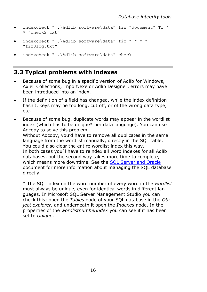- indexcheck "..\Adlib software\data" fix "document" TI \*  $*$  "check2  $+ x+$ "
- indexcheck "..\Adlib software\data" fix \* \* \* \* "fix3log.txt"
- indexcheck "..\Adlib software\data" check

### **3.3 Typical problems with indexes**

- Because of some bug in a specific version of Adlib for Windows, Axiell Collections, import.exe or Adlib Designer, errors may have been introduced into an index.
- If the definition of a field has changed, while the index definition hasn't, keys may be too long, cut off, or of the wrong data type, etc.
- Because of some bug, duplicate words may appear in the wordlist index (which has to be unique\* per data language). You can use Adcopy to solve this problem.

Without Adcopy, you'd have to remove all duplicates in the same language from the wordlist manually, directly in the SQL table. You could also clear the entire wordlist index this way. In both cases you'll have to reindex all word indexes for all Adlib databases, but the second way takes more time to complete, which means more downtime. See the SOL Server and Oracle document for more information about managing the SQL database directly.

\* The SQL index on the word number of every word in the *wordlist* must always be unique, even for identical words in different languages. In Microsoft SQL Server Management Studio you can check this: open the *Tables* node of your SQL database in the *Object explorer*, and underneath it open the *Indexes* node. In the properties of the *wordlistnumberindex* you can see if it has been set to *Unique*.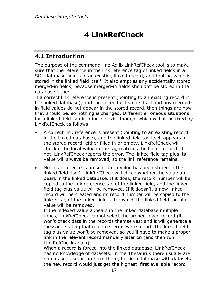# **4 LinkRefCheck**

### **4.1 Introduction**

The purpose of the command-line Adlib LinkRefCheck tool is to make sure that the reference in the link reference tag of linked fields in a SQL database points to an existing linked record, and that no value is stored in the linked field itself. It also empties any accidentally stored merged-in fields, because merged-in fields shouldn't be stored in the database either.

If a correct link reference is present (pointing to an existing record in the linked database), and the linked field value itself and any mergedin field values do not appear in the stored record, then things are how they should be, so nothing is changed. Different erroneous situations for a linked field can in principle exist though, which will all be fixed by LinkRefCheck as follows:

- A correct link reference is present (pointing to an existing record in the linked database), and the linked field tag itself appears in the stored record, either filled in or empty. LinkRefCheck will check if the local value in the tag matches the linked record. If not, LinkRefCheck reports the error. The linked field tag plus its value will always be removed, so the link reference remains.
- No link reference is present but a value has been stored in the linked field itself. LinkRefCheck will check whether the value appears in the linked database. If it does, the record number will be copied to the link reference tag of the linked field, and the linked field tag plus value will be removed. If it doesn't, a new linked record will be created and its record number will be copied to the linkref tag of the linked field, after which the linked field tag plus value will be removed.

If the indexed value appears in the linked database multiple times, LinkRefCheck cannot select the proper linked record (it won't check data in the records themselves) and it will generate a message stating that multiple terms were found. The linked field tag plus value won't be removed, so you'll have to make a proper link in the relevant record manually later on (and then run LinkRefCheck again).

When a record is forced into the linked database, LinkRefCheck has no knowledge of datasets. In the Thesaurus there usually are no datasets, so no problem there, but in a database with datasets the new record would just get the highest, first available record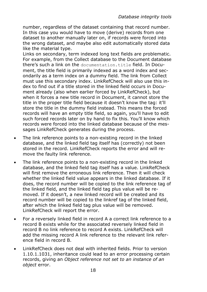number, regardless of the dataset containing that record number. In this case you would have to move (derive) records from one dataset to another manually later on, if records were forced into the wrong dataset, and maybe also edit automatically stored data like the material type.

Links on secondary, term indexed long text fields are problematic. For example, from the Collect database to the Document database there's such a link on the documentation.title field. In Document, the title field is primarily indexed as a word index and secondarily as a term index on a dummy field. The link from Collect must use this secondary index. LinkRefCheck will also use this index to find out if a title stored in the linked field occurs in Document already (also when earlier forced by LinkRefCheck), but when it forces a new title record in Document, it cannot store the title in the proper title field because it doesn't know the tag: it'll store the title in the dummy field instead. This means the forced records will have an empty title field, so again, you'll have to edit such forced records later on by hand to fix this. You'll know which records were forced into the linked database because of the messages LinkRefCheck generates during the process.

- The link reference points to a non-existing record in the linked database, and the linked field tag itself has (correctly) not been stored in the record. LinkRefCheck reports the error and will remove the faulty link reference.
- The link reference points to a non-existing record in the linked database, and the linked field tag itself has a value. LinkRefCheck will first remove the erroneous link reference. Then it will check whether the linked field value appears in the linked database. If it does, the record number will be copied to the link reference tag of the linked field, and the linked field tag plus value will be removed. If it doesn't, a new linked record will be created and its record number will be copied to the linkref tag of the linked field, after which the linked field tag plus value will be removed. LinkRefCheck will report the error.
- For a reversely linked field in record A a correct link reference to a record B exists while for the associated reversely linked field in record B no link reference to record A exists. LinkRefCheck will add the missing record A link reference to the relevant link reference field in record B.
- LinkRefCheck does not deal with inherited fields. Prior to version 1.10.1.1031, inheritance could lead to an error processing certain records, giving an *Object reference not set to an instance of an object* error.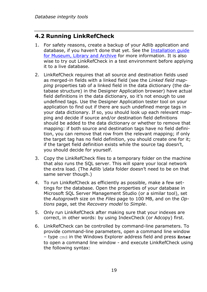### **4.2 Running LinkRefCheck**

- 1. For safety reasons, create a backup of your Adlib application and database, if you haven't done that yet. See the [Installation guide](http://www.adlibsoft.com/support/manuals/installation-guides/installation-of-adlib-museum-library-and-archive)  [for Museum, Library and Archive](http://www.adlibsoft.com/support/manuals/installation-guides/installation-of-adlib-museum-library-and-archive) for more information. It is also wise to try out LinkRefCheck in a test environment before applying it to a live database.
- 2. LinkRefCheck requires that all source and destination fields used as merged-in fields with a linked field (see the *Linked field mapping* properties tab of a linked field in the data dictionary (the database structure) in the Designer Application browser) have actual field definitions in the data dictionary, so it's not enough to use undefined tags. Use the Designer Application tester tool on your application to find out if there are such undefined merge tags in your data dictionary. If so, you should look up each relevant mapping and decide if source and/or destination field definitions should be added to the data dictionary or whether to remove that mapping: if both source and destination tags have no field definition, you can remove that row from the relevant mapping; if only the target tag has no field definition, you should create one for it; if the target field definition exists while the source tag doesn't, you should decide for yourself.
- 3. Copy the LinkRefCheck files to a temporary folder on the machine that also runs the SQL server. This will spare your local network the extra load. (The Adlib *\data* folder doesn't need to be on that same server though.)
- 4. To run LinkRefCheck as efficiently as possible, make a few settings for the database. Open the properties of your database in Microsoft SQL Server Management Studio (or a similar tool), set the *Autogrowth* size on the *Files* page to 100 MB, and on the *Options* page, set the *Recovery model* to *Simple*.
- 5. Only run LinkRefCheck after making sure that your indexes are correct, in other words: by using IndexCheck (or Adcopy) first.
- 6. LinkRefCheck can be controlled by command-line parameters. To provide command-line parameters, open a command line window – type cmd in the Windows Explorer address field and press **Enter** to open a command line window - and execute LinkRefCheck using the following syntax: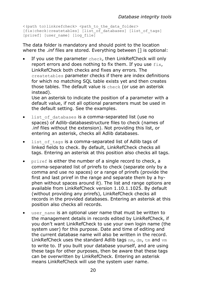```
<(path to)linkrefcheck> <path to the data folder>
\overline{f}[fix|check|createtables] [list_of_databases] [list_of_tags]
[priref] [user_name] [log_file]
```
The data folder is mandatory and should point to the location where the .*inf* files are stored. Everything between [] is optional:

• If you use the parameter check, then LinkRefCheck will only report errors and does nothing to fix them. If you use  $fix.$ LinkRefCheck both checks and fixes any errors. The createtables parameter checks if there are index definitions for which no matching SQL table exists yet and then creates those tables. The default value is check (or use an asterisk instead).

Use an asterisk to indicate the position of a parameter with a default value, if not all optional parameters must be used in the default setting. See the examples.

- list of databases is a comma-separated list (use no spaces) of Adlib-databasestructure files to check (names of .inf files without the extension). Not providing this list, or entering an asterisk, checks all Adlib databases.
- list of tags is a comma-separated list of Adlib tags of linked fields to check. By default, LinkRefCheck checks all tags. Entering an asterisk at this position also checks all tags.
- priref is either the number of a single record to check, a comma-separated list of prirefs to check (separate only by a comma and use no spaces) or a range of prirefs (provide the first and last priref in the range and separate them by a hyphen without spaces around it). The list and range options are available from LinkRefCheck version 1.10.1.1025. By default (without providing any prirefs), LinkRefCheck checks all records in the provided databases. Entering an asterisk at this position also checks all records.
- user name is an optional user name that must be written to the management details in records edited by LinkRefCheck, if you don't want LinkRefCheck to use your own login name (the system user) for this purpose. Date and time of editing and the current database name will also be written in the record. LinkRefCheck uses the standard Adlib tags nm, dm, tm and vm to write to. If you built your database yourself, and are using these tags for other purposes, then be aware that these tags can be overwritten by LinkRefCheck. Entering an asterisk means LinkRefCheck will use the system user name.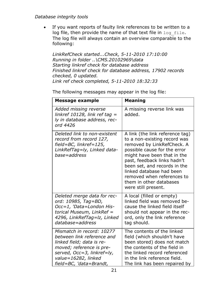• If you want reports of faulty link references to be written to a log file, then provide the name of that text file in log file. The log file will always contain an overview comparable to the following:

*LinkRefCheck started...Check, 5-11-2010 17:10:00 Running in folder ..\CMS.20102969\data Starting linkref check for database address Finished linkref check for database address, 17902 records checked, 0 updated. Link ref check completed, 5-11-2010 18:32:33*

| Message example                                                                                                                                                                                  | <b>Meaning</b>                                                                                                                                                                                                                                                                                                                          |
|--------------------------------------------------------------------------------------------------------------------------------------------------------------------------------------------------|-----------------------------------------------------------------------------------------------------------------------------------------------------------------------------------------------------------------------------------------------------------------------------------------------------------------------------------------|
| Added missing reverse<br>linkref 10128, link ref tag =<br>ly in database address, rec-<br>ord 4426                                                                                               | A missing reverse link was<br>added.                                                                                                                                                                                                                                                                                                    |
| Deleted link to non-existent<br>record from record 127,<br>field=BC, linkref=125,<br>LinkRefTag=ly, Linked data-<br>base=address                                                                 | A link (the link reference tag)<br>to a non-existing record was<br>removed by LinkRefCheck. A<br>possible cause for the error<br>might have been that in the<br>past, feedback links hadn't<br>been set, and records in the<br>linked database had been<br>removed when references to<br>them in other databases<br>were still present. |
| Deleted merge data for rec-<br>ord: 10985, Tag=BD,<br>Occ=1, 'Data=London His-<br>torical Museum, LinkRef =<br>4296, LinkRefTag=lz, Linked<br>database=address                                   | A local (filled or empty)<br>linked field was removed be-<br>cause the linked field itself<br>should not appear in the rec-<br>ord, only the link reference<br>tag should.                                                                                                                                                              |
| Mismatch in record: 10277<br>between link reference and<br>linked field; data is re-<br>moved; reference is pre-<br>served, Occ=3, linkref=ly,<br>value=16282, linked<br>field=BC, 'data=Brandt, | The contents of the linked<br>field (which shouldn't have<br>been stored) does not match<br>the contents of the field in<br>the linked record referenced<br>in the link reference field.<br>The link has been repaired by                                                                                                               |

The following messages may appear in the log file: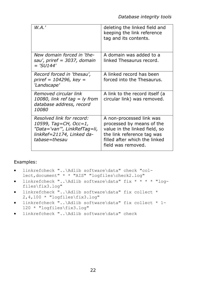| W.A.'                                                                                                                            | deleting the linked field and<br>keeping the link reference<br>tag and its contents.                                                                                        |
|----------------------------------------------------------------------------------------------------------------------------------|-----------------------------------------------------------------------------------------------------------------------------------------------------------------------------|
| New domain forced in 'the-<br>sau', priref = 3037, domain<br>$=$ 'SU144'                                                         | A domain was added to a<br>linked Thesaurus record.                                                                                                                         |
| Record forced in 'thesau',<br>priref = 104296, key =<br>'Landscape'                                                              | A linked record has been<br>forced into the Thesaurus.                                                                                                                      |
| Removed circular link<br>10080, link ref tag = ly from<br>database address, record<br>10080                                      | A link to the record itself (a<br>circular link) was removed.                                                                                                               |
| Resolved link for record:<br>10599, Tag=CH, Occ=1,<br>"Data='van'", LinkRefTag=li,<br>linkRef=21174, Linked da-<br>tabase=thesau | A non-processed link was<br>processed by means of the<br>value in the linked field, so<br>the link reference tag was<br>filled after which the linked<br>field was removed. |

#### Examples:

- linkrefcheck "..\Adlib software\data" check "collect,document" \* \* "AIS" "logfiles\check2.log"
- linkrefcheck "..\Adlib software\data" fix \* \* \* \* "logfiles\fix3.log"
- linkrefcheck "..\Adlib software\data" fix collect \* 2,4,100 \* "logfiles\fix3.log"
- linkrefcheck "..\Adlib software\data" fix collect \* 1- 120 \* "logfiles\fix3.log"
- linkrefcheck "..\Adlib software\data" check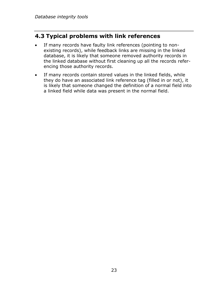### **4.3 Typical problems with link references**

- If many records have faulty link references (pointing to nonexisting records), while feedback links are missing in the linked database, it is likely that someone removed authority records in the linked database without first cleaning up all the records referencing those authority records.
- If many records contain stored values in the linked fields, while they do have an associated link reference tag (filled in or not), it is likely that someone changed the definition of a normal field into a linked field while data was present in the normal field.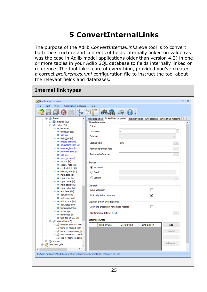# **5 ConvertInternalLinks**

The purpose of the Adlib *ConvertInternalLinks.exe* tool is to convert both the structure and contents of fields internally linked on value (as was the case in Adlib model applications older than version 4.2) in one or more tables in your Adlib SQL database to fields internally linked on reference. The tool takes care of everything, provided you've created a correct *preferences.xml* configuration file to instruct the tool about the relevant fields and databases.

| <b>Bo</b> Application browser                                                                                                                                                                                                                                                                                                                                                                                                                                                                                                                                                                                                                                                                                                                                                                                                                               | $\Box$ $\times$                                                                                                                                                                                                                                                                                                                                                                                                                                                                                                                                                                                                                                                                                            |
|-------------------------------------------------------------------------------------------------------------------------------------------------------------------------------------------------------------------------------------------------------------------------------------------------------------------------------------------------------------------------------------------------------------------------------------------------------------------------------------------------------------------------------------------------------------------------------------------------------------------------------------------------------------------------------------------------------------------------------------------------------------------------------------------------------------------------------------------------------------|------------------------------------------------------------------------------------------------------------------------------------------------------------------------------------------------------------------------------------------------------------------------------------------------------------------------------------------------------------------------------------------------------------------------------------------------------------------------------------------------------------------------------------------------------------------------------------------------------------------------------------------------------------------------------------------------------------|
| File<br>Edit<br>View<br>Application language                                                                                                                                                                                                                                                                                                                                                                                                                                                                                                                                                                                                                                                                                                                                                                                                                | Help                                                                                                                                                                                                                                                                                                                                                                                                                                                                                                                                                                                                                                                                                                       |
|                                                                                                                                                                                                                                                                                                                                                                                                                                                                                                                                                                                                                                                                                                                                                                                                                                                             | 6000 3                                                                                                                                                                                                                                                                                                                                                                                                                                                                                                                                                                                                                                                                                                     |
| 白 <b>品</b> thesau<br>$\overline{\phantom{a}}$<br>$\mathbf{H}$ Indexes (10)<br><b>E</b> Prelds (28)<br>$\equiv$ term (te)<br>term.type (do)<br>$\blacksquare$ use (us)<br>used for (uf)<br>m related term (rt)<br>equivalent term (et)<br>broader_term (bt)<br>m narrower_term (nt)<br>$\equiv$ see (so)<br>seen from (se)<br>source (br)<br>scope note (sn)<br>content.date (id)<br>history note (hn)<br>input.date (di)<br>$\equiv$ input time (bx)<br>input.name (ni)<br>input.source (vi)<br>imput.notes (mi)<br>edit.date (dm)<br>edit.time (tm)<br>edit.name (nm)<br>edit.source (vm)<br>edit.notes (mm)<br>tem.number (tn)<br>m notes (op)<br>term.code (tc)<br>text for OPAC (ot)<br>□ 2 Internal links (5)<br>broader_term <-> term<br>term <-> related term<br>tem <->equivalent_tem><br>use <-> term <-> used<br>see <->tem <->seen<br>E transpor | Field properties   Linked field properties   Relation fields   Link screens   Linked field mapping<br>$\leftarrow$<br>Linked database<br>Folder<br><b>Database</b><br>$\equiv$<br>Data set<br>$\sim$<br>Lookup field<br>term<br>$\sim$<br>Forward reference field<br>ш<br>Backward reference<br>ш.<br>Domain<br>(C) No domain<br>◯ Fixed<br>◯ Variable<br>General<br>Strict validation<br>$\Box$<br>$\overline{\mathsf{v}}$<br>Link only first occurrence<br>Creation of new linked records<br>Allow the creation of new linked records<br>П<br><b>Destination dataset field</b><br>$\ldots$<br><b>External sources</b><br>Path or URL<br><b>Description</b><br><b>Link Screen</b><br><b>Add</b><br>Remove |
| data.demo de                                                                                                                                                                                                                                                                                                                                                                                                                                                                                                                                                                                                                                                                                                                                                                                                                                                | Advanced                                                                                                                                                                                                                                                                                                                                                                                                                                                                                                                                                                                                                                                                                                   |
| and a control                                                                                                                                                                                                                                                                                                                                                                                                                                                                                                                                                                                                                                                                                                                                                                                                                                               |                                                                                                                                                                                                                                                                                                                                                                                                                                                                                                                                                                                                                                                                                                            |
| $\mathbf{r}$                                                                                                                                                                                                                                                                                                                                                                                                                                                                                                                                                                                                                                                                                                                                                                                                                                                |                                                                                                                                                                                                                                                                                                                                                                                                                                                                                                                                                                                                                                                                                                            |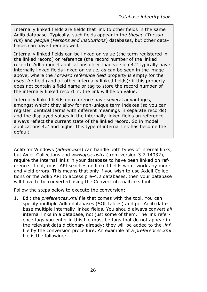Internally linked fields are fields that link to other fields in the same Adlib database. Typically, such fields appear in the *thesau* (*Thesaurus*) and *people* (*Persons and institutions*) databases, but other databases can have them as well.

Internally linked fields can be linked on value (the term registered in the linked record) or reference (the record number of the linked record). Adlib model applications older than version 4.2 typically have internally linked fields linked on value, as can be seen in the image above, where the *Forward reference field* property is empty for the *used\_for* field (and all other internally linked fields): if this property does not contain a field name or tag to store the record number of the internally linked record in, the link will be on value.

Internally linked fields on reference have several advantages, amongst which: they allow for non-unique term indexes (so you can register identical terms with different meanings in separate records) and the displayed values in the internally linked fields on reference always reflect the current state of the linked record. So in model applications 4.2 and higher this type of internal link has become the default.

Adlib for Windows (*adlwin.exe*) can handle both types of internal links, but Axiell Collections and *wwwopac.ashx* (from version 3.7.14032), require the internal links in your database to have been linked on reference: if not, most API seaches on linked fields won't work any more and yield errors. This means that only if you wish to use Axiell Collections or the Adlib API to access pre-4.2 databases, then your database will have to be converted using the ConvertInternalLinks tool.

Follow the steps below to execute the conversion:

1. Edit the *preferences.xml* file that comes with the tool. You can specify multiple Adlib databases (SQL tables) and per Adlib database multiple internally linked fields. You should always convert *all* internal links in a database, not just some of them. The link reference tags you enter in this file must be tags that do not appear in the relevant data dictionary already: they will be added to the .*inf* file by the conversion procedure. An example of a *preferences.xml* file is the following: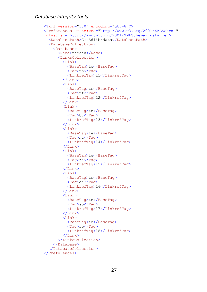```
<?xml version="1.0" encoding="utf-8"?>
<Preferences xmlns:xsd="http://www.w3.org/2001/XMLSchema"
xmlns:xsi="http://www.w3.org/2001/XMLSchema-instance">
   <DatabasePath>C:\Adlib\data</DatabasePath>
  <DatabaseCollection>
     <Database>
       <Name>thesau</Name>
       <LinksCollection>
         \langleLink\rangle <BaseTag>te</BaseTag>
            <Tag>us</Tag>
            <LinkrefTag>l1</LinkrefTag>
         \langle/Link>
         \langleLink>
            <BaseTag>te</BaseTag>
            <Tag>uf</Tag>
            <LinkrefTag>l2</LinkrefTag>
          </Link>
         <Link> <BaseTag>te</BaseTag>
            <Tag>bt</Tag>
            <LinkrefTag>l3</LinkrefTag>
          </Link>
         <Link> <BaseTag>te</BaseTag>
            <Tag>nt</Tag>
            <LinkrefTag>l4</LinkrefTag>
         \langleTink>
         <Link> <BaseTag>te</BaseTag>
            <Tag>rt</Tag>
            <LinkrefTag>l5</LinkrefTag>
         \langle/Link>
         <Link> <BaseTag>te</BaseTag>
            <Tag>et</Tag>
            <LinkrefTag>l6</LinkrefTag>
         \langleLink>
         \langleLink>
            <BaseTag>te</BaseTag>
            <Tag>so</Tag>
            <LinkrefTag>l7</LinkrefTag>
         \langleLink>
         <Link> <BaseTag>te</BaseTag>
            <Tag>se</Tag>
            <LinkrefTag>l8</LinkrefTag>
         \langle/Link>
       </LinksCollection>
     </Database>
   </DatabaseCollection>
</Preferences>
```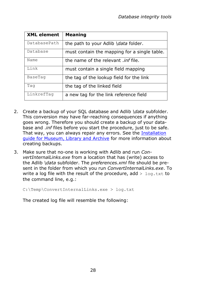| <b>XML element</b> | <b>Meaning</b>                               |
|--------------------|----------------------------------------------|
| DatabasePath       | the path to your Adlib \ <i>data</i> folder. |
| Database           | must contain the mapping for a single table. |
| Name               | the name of the relevant <i>inf</i> file.    |
| Link               | must contain a single field mapping          |
| BaseTag            | the tag of the lookup field for the link     |
| Tag                | the tag of the linked field                  |
| LinkrefTaq         | a new tag for the link reference field       |

- 2. Create a backup of your SQL database and Adlib *\data* subfolder. This conversion may have far-reaching consequences if anything goes wrong. Therefore you should create a backup of your database and .*inf* files before you start the procedure, just to be safe. That way, you can always repair any errors. See the [Installation](http://www.adlibsoft.com/support/manuals/installation-guides/installation-of-adlib-museum-library-and-archive)  [guide for Museum, Library and Archive](http://www.adlibsoft.com/support/manuals/installation-guides/installation-of-adlib-museum-library-and-archive) for more information about creating backups.
- 3. Make sure that no-one is working with Adlib and run *ConvertInternalLinks.exe* from a location that has (write) access to the Adlib *\data* subfolder. The *preferences.xml* file should be present in the folder from which you run *ConvertInternalLinks.exe*. To write a log file with the result of the procedure, add  $>$  log.txt to the command line, e.g.:

C:\Temp\ConvertInternalLinks.exe > log.txt

The created log file will resemble the following: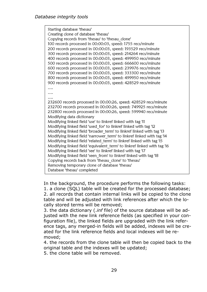Starting database 'thesau' Creating clone of database 'thesau' Copving records from 'thesau' to 'thesau clone' 100 records processed in 00:00:03, speed: 1755 recs/minute 200 records processed in 00:00:03, speed: 193529 recs/minute 300 records processed in 00:00:03, speed: 214264 recs/minute 400 records processed in 00:00:03, speed: 499950 recs/minute 500 records processed in 00:00:03, speed: 666600 recs/minute 600 records processed in 00:00:03, speed: 239976 recs/minute 700 records processed in 00:00:03, speed: 333300 recs/minute 800 records processed in 00:00:03, speed: 499950 recs/minute 900 records processed in 00:00:03, speed: 428529 recs/minute  $\ddotsc$  $\cdots$  $\overline{\phantom{a}}$ 232600 records processed in 00:00:26, speed: 428529 recs/minute 232700 records processed in 00:00:26, speed: 749925 recs/minute 232800 records processed in 00:00:26, speed: 599940 recs/minute Modifying data dictionary Modifying linked field 'use' to linkref linked with tag 'l1 Modifving linked field 'used for' to linkref linked with tag 'l2 Modifying linked field 'broader term' to linkref linked with tag '13 Modifying linked field 'narrower term' to linkref linked with tag 'l4 Modifying linked field 'related\_term' to linkref linked with tag '15 Modifying linked field 'equivalent term' to linkref linked with tag '16 Modifving linked field 'see' to linkref linked with tag 'l7 Modifying linked field 'seen from' to linkref linked with tag 'l8 Copying records back from 'thesau clone' to 'thesau' Removing temporary clone of database 'thesau' Database 'thesau' completed

In the background, the procedure performs the following tasks:

1. a clone (SQL) table will be created for the processed database; 2. all records that contain internal links will be copied to the clone table and will be adjusted with link references after which the locally stored terms will be removed;

3. the data dictionary (.*inf* file) of the source database will be adjusted with the new link reference fields (as specified in your configuration file), the linked fields are upgraded with the link reference tags, any merged-in fields will be added, indexes will be created for the link reference fields and local indexes will be removed;

4. the records from the clone table will then be copied back to the original table and the indexes will be updated;

5. the clone table will be removed.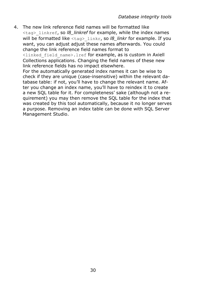4. The new link reference field names will be formatted like <tag>\_linkref, so *l8\_linkref* for example, while the index names will be formatted like <tag> linkr, so *l8\_linkr* for example. If you want, you can adjust adjust these names afterwards. You could change the link reference field names format to

<linked\_field\_name>.lref for example, as is custom in Axiell Collections applications. Changing the field names of these new link reference fields has no impact elsewhere.

For the automatically generated index names it can be wise to check if they are unique (case-insensitive) within the relevant database table: if not, you'll have to change the relevant name. After you change an index name, you'll have to reindex it to create a new SQL table for it. For completeness' sake (although not a requirement) you may then remove the SQL table for the index that was created by this tool automatically, because it no longer serves a purpose. Removing an index table can be done with SQL Server Management Studio.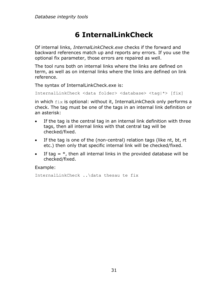# **6 InternalLinkCheck**

Of internal links, *InternalLinkCheck.exe* checks if the forward and backward references match up and reports any errors. If you use the optional fix parameter, those errors are repaired as well.

The tool runs both on internal links where the links are defined on term, as well as on internal links where the links are defined on link reference.

The syntax of InternalLinkCheck.exe is:

InternalLinkCheck <data folder> <database> <tag|\*> [fix]

in which fix is optional: without it, InternalLinkCheck only performs a check. The tag must be one of the tags in an internal link definition or an asterisk:

- If the tag is the central tag in an internal link definition with three tags, then all internal links with that central tag will be checked/fixed.
- If the tag is one of the (non-central) relation tags (like nt, bt, rt etc.) then only that specific internal link will be checked/fixed.
- If tag  $=$  \*, then all internal links in the provided database will be checked/fixed.

Example:

```
InternalLinkCheck ..\data thesau te fix
```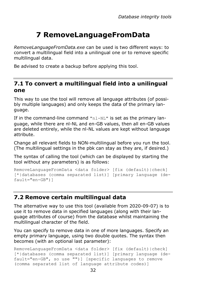# **7 RemoveLanguageFromData**

*RemoveLanguageFromData.exe* can be used is two different ways: to convert a multilingual field into a unilingual one or to remove specific multilingual data.

Be advised to create a backup before applying this tool.

### **7.1 To convert a multilingual field into a unilingual one**

This way to use the tool will remove all language attributes (of possibly multiple languages) and only keeps the data of the primary language.

If in the command-line command " $n1-NL$ " is set as the primary language, while there are nl-NL and en-GB values, then all en-GB values are deleted entirely, while the nl-NL values are kept without language attribute.

Change all relevant fields to NON-multilingual before you run the tool. (The multilingual settings in the pbk can stay as they are, if desired.)

The syntax of calling the tool (which can be displayed by starting the tool without any parameters) is as follows:

```
RemoveLanguageFromData <data folder> [fix (default)|check] 
[*|databases (comma separated list)] [primary language (de-
fault="en-GB")]
```
### **7.2 Remove certain multilingual data**

The alternative way to use this tool (available from 2020-09-07) is to use it to remove data in specified languages (along with their language attributes of course) from the database whilst maintaining the multilingual character of the field.

You can specify to remove data in one of more languages. Specify an empty primary language, using two double quotes. The syntax then becomes (with an optional last parameter):

```
RemoveLanguageFromData <data folder> [fix (default)|check] 
[*|databases (comma separated list)] [primary language (de-
fault="en-GB", so use "")] [specific languages to remove 
(comma separated list of language attribute codes)]
```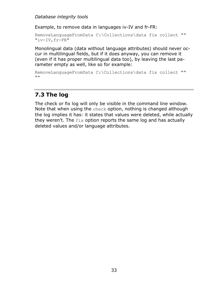Example, to remove data in languages iv-IV and fr-FR:

```
RemoveLanguageFromData C:\Collections\data fix collect "" 
"iv-IV,fr-FR"
```
Monolingual data (data without language attributes) should never occur in multilingual fields, but if it does anyway, you can remove it (even if it has proper multilingual data too), by leaving the last parameter empty as well, like so for example:

```
RemoveLanguageFromData C:\Collections\data fix collect "" 
""
```
### **7.3 The log**

The check or fix log will only be visible in the command line window. Note that when using the check option, nothing is changed although the log implies it has: it states that values were deleted, while actually they weren't. The  $fix$  option reports the same log and has actually deleted values and/or language attributes.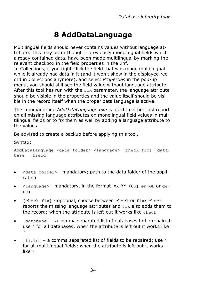# **8 AddDataLanguage**

Multilingual fields should never contains values without language attribute. This may occur though if previously monolingual fields which already contained data, have been made multilingual by marking the relevant checkbox in the field properties in the .inf.

In Collections, if you right-click the field that was made multilingual while it already had data in it (and it won't show in the displayed record in Collections anymore), and select *Properties* in the pop-up menu, you should still see the field value without language attribute. After this tool has run with the fix parameter, the language attribute should be visible in the properties and the value itself should be visible in the record itself when the proper data language is active.

The command-line *AddDataLanguage.exe* is used to either just report on all missing language attributes on monolingual field values in multilingual fields or to fix them as well by adding a language attribute to the values.

Be advised to create a backup before applying this tool.

#### Syntax:

AddDataLanguage <data folder> <language> [check|fix] [database] [field]

- $\bullet$  <data folder> mandatory; path to the data folder of the application
- $\bullet$  <language> mandatory, in the format 'xx-YY' (e.g. en-GB or de-DE)
- $[check|fix]$  optional, choose between check or  $fix: check$ reports the missing language attributes and fix also adds them to the record; when the attribute is left out it works like check
- [database] a comma separated list of databases to be repaired: use  $*$  for all databases; when the attribute is left out it works like \*
- [field] a comma separated list of fields to be repaired; use  $*$ for all multilingual fields; when the attribute is left out it works like \*